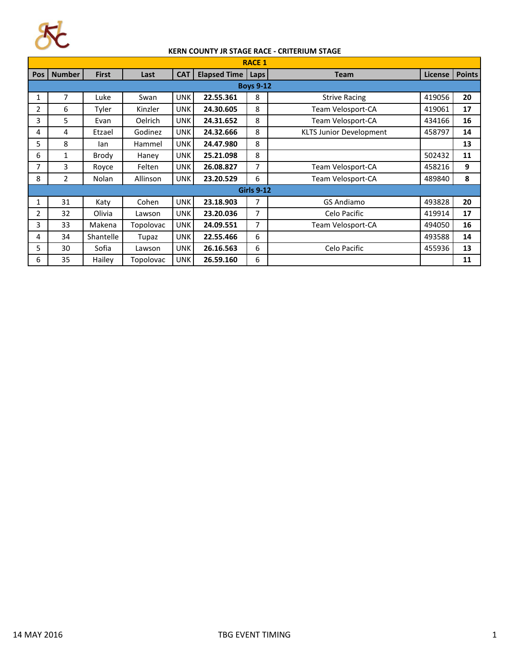

## **KERN COUNTY JR STAGE RACE - CRITERIUM STAGE**

| <b>RACE 1</b>     |                |              |                  |            |                     |      |                                |         |               |  |  |
|-------------------|----------------|--------------|------------------|------------|---------------------|------|--------------------------------|---------|---------------|--|--|
| <b>Pos</b>        | <b>Number</b>  | <b>First</b> | Last             | <b>CAT</b> | <b>Elapsed Time</b> | Laps | <b>Team</b>                    | License | <b>Points</b> |  |  |
| <b>Boys 9-12</b>  |                |              |                  |            |                     |      |                                |         |               |  |  |
| 1                 | 7              | Luke         | Swan             | <b>UNK</b> | 22.55.361           | 8    | <b>Strive Racing</b>           | 419056  | 20            |  |  |
| 2                 | 6              | Tyler        | Kinzler          | <b>UNK</b> | 24.30.605           | 8    | Team Velosport-CA              | 419061  | 17            |  |  |
| 3                 | 5.             | Evan         | <b>Oelrich</b>   | <b>UNK</b> | 24.31.652           | 8    | Team Velosport-CA              | 434166  | 16            |  |  |
| 4                 | 4              | Etzael       | Godinez          | <b>UNK</b> | 24.32.666           | 8    | <b>KLTS Junior Development</b> | 458797  | 14            |  |  |
| 5.                | 8              | lan          | Hammel           | UNK        | 24.47.980           | 8    |                                |         | 13            |  |  |
| 6                 | 1              | Brody        | Haney            | UNK.       | 25.21.098           | 8    |                                | 502432  | 11            |  |  |
| 7                 | 3              | Royce        | Felten           | <b>UNK</b> | 26.08.827           | 7    | Team Velosport-CA              | 458216  | 9             |  |  |
| 8                 | $\overline{2}$ | <b>Nolan</b> | <b>Allinson</b>  | UNK        | 23.20.529           | 6    | Team Velosport-CA              | 489840  | 8             |  |  |
| <b>Girls 9-12</b> |                |              |                  |            |                     |      |                                |         |               |  |  |
| 1                 | 31             | Katy         | Cohen            | <b>UNK</b> | 23.18.903           | 7    | <b>GS Andiamo</b>              | 493828  | 20            |  |  |
| 2                 | 32             | Olivia       | Lawson           | <b>UNK</b> | 23.20.036           | 7    | Celo Pacific                   | 419914  | 17            |  |  |
| 3                 | 33             | Makena       | <b>Topolovac</b> | <b>UNK</b> | 24.09.551           | 7    | Team Velosport-CA              | 494050  | 16            |  |  |
| 4                 | 34             | Shantelle    | Tupaz            | UNK        | 22.55.466           | 6    |                                | 493588  | 14            |  |  |
| 5                 | 30             | Sofia        | Lawson           | <b>UNK</b> | 26.16.563           | 6    | Celo Pacific                   | 455936  | 13            |  |  |
| 6                 | 35             | Hailey       | Topolovac        | <b>UNK</b> | 26.59.160           | 6    |                                |         | 11            |  |  |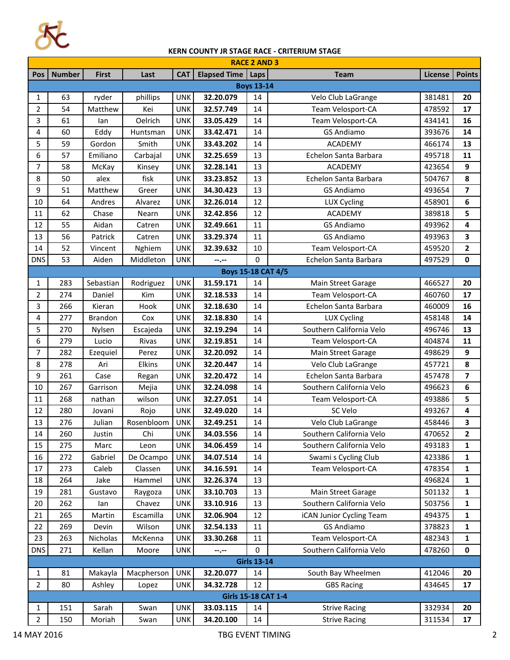

## **KERN COUNTY JR STAGE RACE - CRITERIUM STAGE**

| <b>RACE 2 AND 3</b> |               |                |            |            |                           |      |                          |         |                         |  |  |
|---------------------|---------------|----------------|------------|------------|---------------------------|------|--------------------------|---------|-------------------------|--|--|
| Pos                 | <b>Number</b> | <b>First</b>   | Last       | <b>CAT</b> | <b>Elapsed Time</b>       | Laps | <b>Team</b>              | License | <b>Points</b>           |  |  |
| <b>Boys 13-14</b>   |               |                |            |            |                           |      |                          |         |                         |  |  |
| 1                   | 63            | ryder          | phillips   | <b>UNK</b> | 32.20.079                 | 14   | Velo Club LaGrange       | 381481  | 20                      |  |  |
| $\overline{2}$      | 54            | Matthew        | Kei        | <b>UNK</b> | 32.57.749                 | 14   | Team Velosport-CA        | 478592  | 17                      |  |  |
| 3                   | 61            | lan            | Oelrich    | <b>UNK</b> | 33.05.429                 | 14   | Team Velosport-CA        | 434141  | 16                      |  |  |
| 4                   | 60            | Eddy           | Huntsman   | <b>UNK</b> | 33.42.471                 | 14   | <b>GS Andiamo</b>        | 393676  | 14                      |  |  |
| 5                   | 59            | Gordon         | Smith      | <b>UNK</b> | 33.43.202                 | 14   | <b>ACADEMY</b>           | 466174  | 13                      |  |  |
| 6                   | 57            | Emiliano       | Carbajal   | <b>UNK</b> | 32.25.659                 | 13   | Echelon Santa Barbara    | 495718  | 11                      |  |  |
| $\overline{7}$      | 58            | McKay          | Kinsey     | <b>UNK</b> | 32.28.141                 | 13   | ACADEMY                  | 423654  | 9                       |  |  |
| 8                   | 50            | alex           | fisk       | <b>UNK</b> | 33.23.852                 | 13   | Echelon Santa Barbara    | 504767  | 8                       |  |  |
| 9                   | 51            | Matthew        | Greer      | <b>UNK</b> | 34.30.423                 | 13   | <b>GS Andiamo</b>        | 493654  | $\overline{\mathbf{z}}$ |  |  |
| 10                  | 64            | Andres         | Alvarez    | <b>UNK</b> | 32.26.014                 | 12   | LUX Cycling              | 458901  | 6                       |  |  |
| 11                  | 62            | Chase          | Nearn      | <b>UNK</b> | 32.42.856                 | 12   | <b>ACADEMY</b>           | 389818  | 5                       |  |  |
| 12                  | 55            | Aidan          | Catren     | <b>UNK</b> | 32.49.661                 | 11   | <b>GS Andiamo</b>        | 493962  | 4                       |  |  |
| 13                  | 56            | Patrick        | Catren     | <b>UNK</b> | 33.29.374                 | 11   | <b>GS Andiamo</b>        | 493963  | 3                       |  |  |
| 14                  | 52            | Vincent        | Nghiem     | <b>UNK</b> | 32.39.632                 | 10   | Team Velosport-CA        | 459520  | $\mathbf{2}$            |  |  |
| <b>DNS</b>          | 53            | Aiden          | Middleton  | <b>UNK</b> | --.--                     | 0    | Echelon Santa Barbara    | 497529  | $\mathbf 0$             |  |  |
|                     |               |                |            |            | <b>Boys 15-18 CAT 4/5</b> |      |                          |         |                         |  |  |
| 1                   | 283           | Sebastian      | Rodriguez  | <b>UNK</b> | 31.59.171                 | 14   | Main Street Garage       | 466527  | 20                      |  |  |
| 2                   | 274           | Daniel         | Kim        | <b>UNK</b> | 32.18.533                 | 14   | Team Velosport-CA        | 460760  | 17                      |  |  |
| 3                   | 266           | Kieran         | Hook       | <b>UNK</b> | 32.18.630                 | 14   | Echelon Santa Barbara    | 460009  | 16                      |  |  |
| 4                   | 277           | <b>Brandon</b> | Cox        | <b>UNK</b> | 32.18.830                 | 14   | <b>LUX Cycling</b>       | 458148  | 14                      |  |  |
| 5                   | 270           | Nylsen         | Escajeda   | <b>UNK</b> | 32.19.294                 | 14   | Southern California Velo | 496746  | 13                      |  |  |
| 6                   | 279           | Lucio          | Rivas      | <b>UNK</b> | 32.19.851                 | 14   | Team Velosport-CA        | 404874  | 11                      |  |  |
| 7                   | 282           | Ezequiel       | Perez      | <b>UNK</b> | 32.20.092                 | 14   | Main Street Garage       | 498629  | 9                       |  |  |
| 8                   | 278           | Ari            | Elkins     | <b>UNK</b> | 32.20.447                 | 14   | Velo Club LaGrange       | 457721  | 8                       |  |  |
| 9                   | 261           | Case           | Regan      | <b>UNK</b> | 32.20.472                 | 14   | Echelon Santa Barbara    | 457478  | 7                       |  |  |
| 10                  | 267           | Garrison       | Mejia      | <b>UNK</b> | 32.24.098                 | 14   | Southern California Velo | 496623  | 6                       |  |  |
| 11                  | 268           | nathan         | wilson     | <b>UNK</b> | 32.27.051                 | 14   | Team Velosport-CA        | 493886  | 5                       |  |  |
| 12                  | 280           | Jovani         | Rojo       | <b>UNK</b> | 32.49.020                 | 14   | SC Velo                  | 493267  | 4                       |  |  |
| 13                  | 276           | Julian         | Rosenbloom | <b>UNK</b> | 32.49.251                 | 14   | Velo Club LaGrange       | 458446  | 3                       |  |  |
| $14\,$              | 260           | Justin         | Chi        | <b>UNK</b> | 34.03.556                 | 14   | Southern California Velo | 470652  | $\mathbf{2}$            |  |  |
| 15                  | 275           | Marc           | Leon       | <b>UNK</b> | 34.06.459                 | 14   | Southern California Velo | 493183  | 1                       |  |  |
| 16                  | 272           | Gabriel        | De Ocampo  | <b>UNK</b> | 34.07.514                 | 14   | Swami s Cycling Club     | 423386  | 1                       |  |  |
| 17                  | 273           | Caleb          | Classen    | <b>UNK</b> | 34.16.591                 | 14   | Team Velosport-CA        | 478354  | 1                       |  |  |
| 18                  | 264           | Jake           | Hammel     | <b>UNK</b> | 32.26.374                 | 13   |                          | 496824  | 1                       |  |  |
| 19                  | 281           | Gustavo        | Raygoza    | <b>UNK</b> | 33.10.703                 | 13   | Main Street Garage       | 501132  | 1                       |  |  |
| 20                  | 262           | lan            | Chavez     | <b>UNK</b> | 33.10.916                 | 13   | Southern California Velo | 503756  | 1                       |  |  |
| 21                  | 265           | Martin         | Escamilla  | <b>UNK</b> | 32.06.904                 | 12   | iCAN Junior Cycling Team | 494375  | 1                       |  |  |
| 22                  | 269           | Devin          | Wilson     | <b>UNK</b> | 32.54.133                 | 11   | <b>GS Andiamo</b>        | 378823  | 1                       |  |  |
| 23                  | 263           | Nicholas       | McKenna    | <b>UNK</b> | 33.30.268                 | 11   | Team Velosport-CA        | 482343  | 1                       |  |  |
| <b>DNS</b>          | 271           | Kellan         | Moore      | <b>UNK</b> | --.--                     | 0    | Southern California Velo | 478260  | $\mathbf 0$             |  |  |
| <b>Girls 13-14</b>  |               |                |            |            |                           |      |                          |         |                         |  |  |
| $\mathbf{1}$        | 81            | Makayla        | Macpherson | <b>UNK</b> | 32.20.077                 | 14   | South Bay Wheelmen       | 412046  | 20                      |  |  |
| $\overline{2}$      | 80            | Ashley         | Lopez      | <b>UNK</b> | 34.32.728                 | 12   | <b>GBS Racing</b>        | 434645  | 17                      |  |  |
| Girls 15-18 CAT 1-4 |               |                |            |            |                           |      |                          |         |                         |  |  |
| $\mathbf{1}$        | 151           | Sarah          | Swan       | <b>UNK</b> | 33.03.115                 | 14   | <b>Strive Racing</b>     | 332934  | 20                      |  |  |
| $\overline{2}$      | 150           | Moriah         | Swan       | <b>UNK</b> | 34.20.100                 | 14   | <b>Strive Racing</b>     | 311534  | 17                      |  |  |

Ŧ.